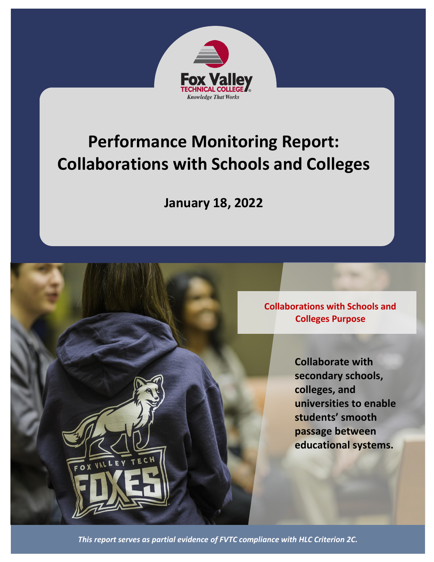

# **Performance Monitoring Report: Collaborations with Schools and Colleges**

**January 18, 2022**

**Collaborations with Schools and Colleges Purpose**

> **Collaborate with secondary schools, colleges, and universities to enable students' smooth passage between educational systems.**

*This report serves as partial evidence of FVTC compliance with HLC Criterion 2C.*

OX VAL L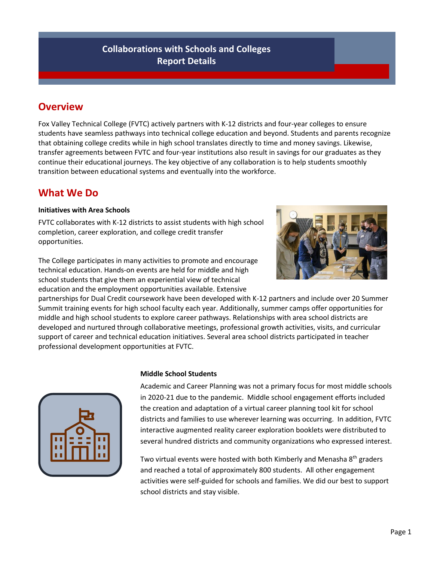## **Collaborations with Schools and Colleges Report Details**

## **Overview**

Fox Valley Technical College (FVTC) actively partners with K-12 districts and four-year colleges to ensure students have seamless pathways into technical college education and beyond. Students and parents recognize that obtaining college credits while in high school translates directly to time and money savings. Likewise, transfer agreements between FVTC and four-year institutions also result in savings for our graduates as they continue their educational journeys. The key objective of any collaboration is to help students smoothly transition between educational systems and eventually into the workforce.

## **What We Do**

#### **Initiatives with Area Schools**

FVTC collaborates with K-12 districts to assist students with high school completion, career exploration, and college credit transfer opportunities.



The College participates in many activities to promote and encourage technical education. Hands-on events are held for middle and high school students that give them an experiential view of technical education and the employment opportunities available. Extensive

partnerships for Dual Credit coursework have been developed with K-12 partners and include over 20 Summer Summit training events for high school faculty each year. Additionally, summer camps offer opportunities for middle and high school students to explore career pathways. Relationships with area school districts are developed and nurtured through collaborative meetings, professional growth activities, visits, and curricular support of career and technical education initiatives. Several area school districts participated in teacher professional development opportunities at FVTC.



### **Middle School Students**

Academic and Career Planning was not a primary focus for most middle schools in 2020-21 due to the pandemic. Middle school engagement efforts included the creation and adaptation of a virtual career planning tool kit for school districts and families to use wherever learning was occurring. In addition, FVTC interactive augmented reality career exploration booklets were distributed to several hundred districts and community organizations who expressed interest.

Two virtual events were hosted with both Kimberly and Menasha 8<sup>th</sup> graders and reached a total of approximately 800 students. All other engagement activities were self-guided for schools and families. We did our best to support school districts and stay visible.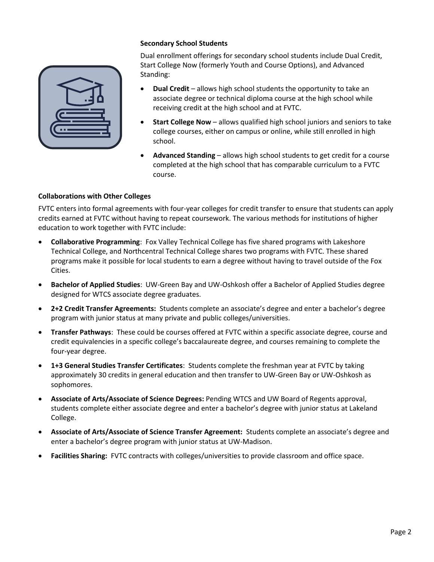#### **Secondary School Students**

Dual enrollment offerings for secondary school students include Dual Credit, Start College Now (formerly Youth and Course Options), and Advanced Standing:

- **Dual Credit** allows high school students the opportunity to take an associate degree or technical diploma course at the high school while receiving credit at the high school and at FVTC.
- **Start College Now** allows qualified high school juniors and seniors to take college courses, either on campus or online, while still enrolled in high school.
- **Advanced Standing** allows high school students to get credit for a course completed at the high school that has comparable curriculum to a FVTC course.

#### **Collaborations with Other Colleges**

FVTC enters into formal agreements with four-year colleges for credit transfer to ensure that students can apply credits earned at FVTC without having to repeat coursework. The various methods for institutions of higher education to work together with FVTC include:

- **Collaborative Programming**: Fox Valley Technical College has five shared programs with Lakeshore Technical College, and Northcentral Technical College shares two programs with FVTC. These shared programs make it possible for local students to earn a degree without having to travel outside of the Fox Cities.
- **Bachelor of Applied Studies**: UW-Green Bay and UW-Oshkosh offer a Bachelor of Applied Studies degree designed for WTCS associate degree graduates.
- **2+2 Credit Transfer Agreements:** Students complete an associate's degree and enter a bachelor's degree program with junior status at many private and public colleges/universities.
- **Transfer Pathways**: These could be courses offered at FVTC within a specific associate degree, course and credit equivalencies in a specific college's baccalaureate degree, and courses remaining to complete the four-year degree.
- **1+3 General Studies Transfer Certificates**: Students complete the freshman year at FVTC by taking approximately 30 credits in general education and then transfer to UW-Green Bay or UW-Oshkosh as sophomores.
- **Associate of Arts/Associate of Science Degrees:** Pending WTCS and UW Board of Regents approval, students complete either associate degree and enter a bachelor's degree with junior status at Lakeland College.
- **Associate of Arts/Associate of Science Transfer Agreement:** Students complete an associate's degree and enter a bachelor's degree program with junior status at UW-Madison.
- **Facilities Sharing:** FVTC contracts with colleges/universities to provide classroom and office space.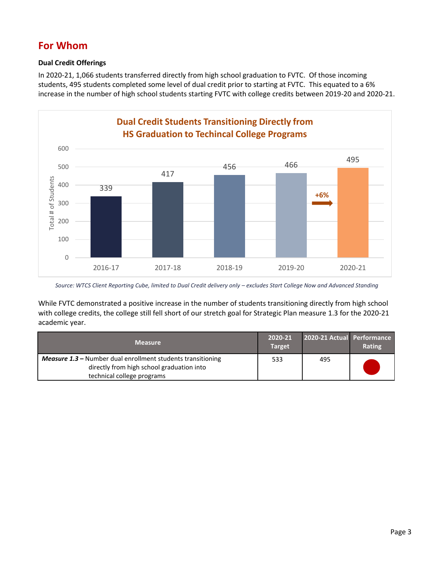## **For Whom**

### **Dual Credit Offerings**

In 2020-21, 1,066 students transferred directly from high school graduation to FVTC. Of those incoming students, 495 students completed some level of dual credit prior to starting at FVTC. This equated to a 6% increase in the number of high school students starting FVTC with college credits between 2019-20 and 2020-21.



Source: WTCS Client Reporting Cube, limited to Dual Credit delivery only - excludes Start College Now and Advanced Standing

While FVTC demonstrated a positive increase in the number of students transitioning directly from high school with college credits, the college still fell short of our stretch goal for Strategic Plan measure 1.3 for the 2020-21 academic year.

| <b>Measure</b>                                                                                                  | 2020-21<br><b>Target</b> | 2020-21 Actual Performance | Rating |
|-----------------------------------------------------------------------------------------------------------------|--------------------------|----------------------------|--------|
| <b>Measure 1.3 - Number dual enrollment students transitioning</b><br>directly from high school graduation into | 533                      | 495                        |        |
| technical college programs                                                                                      |                          |                            |        |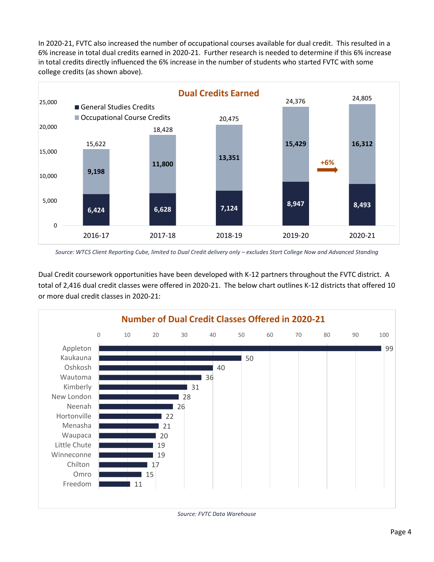In 2020-21, FVTC also increased the number of occupational courses available for dual credit. This resulted in a 6% increase in total dual credits earned in 2020-21. Further research is needed to determine if this 6% increase in total credits directly influenced the 6% increase in the number of students who started FVTC with some college credits (as shown above).



Source: WTCS Client Reporting Cube, limited to Dual Credit delivery only - excludes Start College Now and Advanced Standing

Dual Credit coursework opportunities have been developed with K-12 partners throughout the FVTC district. A total of 2,416 dual credit classes were offered in 2020-21. The below chart outlines K-12 districts that offered 10 or more dual credit classes in 2020-21:

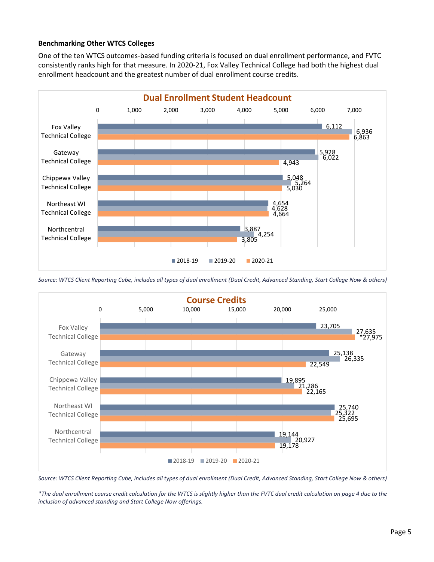#### **Benchmarking Other WTCS Colleges**

One of the ten WTCS outcomes-based funding criteria is focused on dual enrollment performance, and FVTC consistently ranks high for that measure. In 2020-21, Fox Valley Technical College had both the highest dual enrollment headcount and the greatest number of dual enrollment course credits.



*Source: WTCS Client Reporting Cube, includes all types of dual enrollment (Dual Credit, Advanced Standing, Start College Now & others)*



*Source: WTCS Client Reporting Cube, includes all types of dual enrollment (Dual Credit, Advanced Standing, Start College Now & others)*

*\*The dual enrollment course credit calculation for the WTCS is slightly higher than the FVTC dual credit calculation on page 4 due to the inclusion of advanced standing and Start College Now offerings.*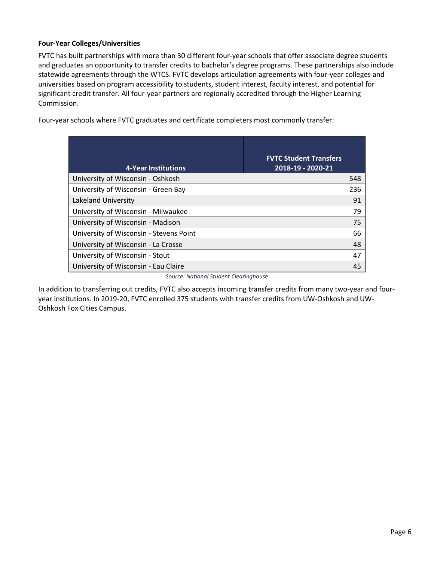### **Four-Year Colleges/Universities**

FVTC has built partnerships with more than 30 different four-year schools that offer associate degree students and graduates an opportunity to transfer credits to bachelor's degree programs. These partnerships also include statewide agreements through the WTCS. FVTC develops articulation agreements with four-year colleges and universities based on program accessibility to students, student interest, faculty interest, and potential for significant credit transfer. All four-year partners are regionally accredited through the Higher Learning Commission.

Four-year schools where FVTC graduates and certificate completers most commonly transfer:

| 4-Year Institutions                     | <b>FVTC Student Transfers</b><br>2018-19 - 2020-21 |
|-----------------------------------------|----------------------------------------------------|
| University of Wisconsin - Oshkosh       | 548                                                |
| University of Wisconsin - Green Bay     | 236                                                |
| Lakeland University                     | 91                                                 |
| University of Wisconsin - Milwaukee     | 79                                                 |
| University of Wisconsin - Madison       | 75                                                 |
| University of Wisconsin - Stevens Point | 66                                                 |
| University of Wisconsin - La Crosse     | 48                                                 |
| University of Wisconsin - Stout         | 47                                                 |
| University of Wisconsin - Eau Claire    | 45                                                 |

*Source: National Student Clearinghouse*

In addition to transferring out credits, FVTC also accepts incoming transfer credits from many two-year and fouryear institutions. In 2019-20, FVTC enrolled 375 students with transfer credits from UW-Oshkosh and UW-Oshkosh Fox Cities Campus.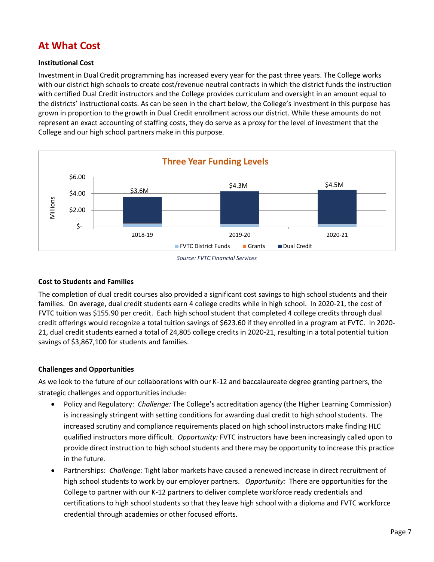## **At What Cost**

#### **Institutional Cost**

Investment in Dual Credit programming has increased every year for the past three years. The College works with our district high schools to create cost/revenue neutral contracts in which the district funds the instruction with certified Dual Credit instructors and the College provides curriculum and oversight in an amount equal to the districts' instructional costs. As can be seen in the chart below, the College's investment in this purpose has grown in proportion to the growth in Dual Credit enrollment across our district. While these amounts do not represent an exact accounting of staffing costs, they do serve as a proxy for the level of investment that the College and our high school partners make in this purpose.



#### *Source: FVTC Financial Services*

#### **Cost to Students and Families**

The completion of dual credit courses also provided a significant cost savings to high school students and their families. On average, dual credit students earn 4 college credits while in high school. In 2020-21, the cost of FVTC tuition was \$155.90 per credit. Each high school student that completed 4 college credits through dual credit offerings would recognize a total tuition savings of \$623.60 if they enrolled in a program at FVTC. In 2020- 21, dual credit students earned a total of 24,805 college credits in 2020-21, resulting in a total potential tuition savings of \$3,867,100 for students and families.

#### **Challenges and Opportunities**

As we look to the future of our collaborations with our K-12 and baccalaureate degree granting partners, the strategic challenges and opportunities include:

- Policy and Regulatory: *Challenge:* The College's accreditation agency (the Higher Learning Commission) is increasingly stringent with setting conditions for awarding dual credit to high school students. The increased scrutiny and compliance requirements placed on high school instructors make finding HLC qualified instructors more difficult. *Opportunity:* FVTC instructors have been increasingly called upon to provide direct instruction to high school students and there may be opportunity to increase this practice in the future.
- Partnerships: *Challenge:* Tight labor markets have caused a renewed increase in direct recruitment of high school students to work by our employer partners. *Opportunity:* There are opportunities for the College to partner with our K-12 partners to deliver complete workforce ready credentials and certifications to high school students so that they leave high school with a diploma and FVTC workforce credential through academies or other focused efforts.